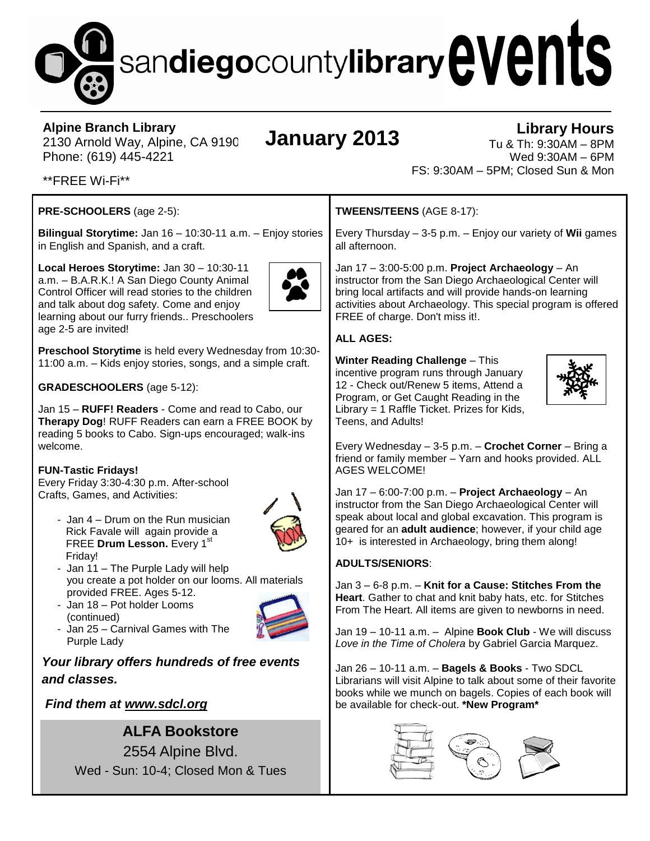# sandiegocountylibrary events

#### **Alpine Branch Library**

2130 Arnold Way, Alpine, CA 9190 Phone: (619) 445-4221

## **January 2013**

#### **Library Hours** Tu & Th: 9:30AM – 8PM Wed 9:30AM – 6PM FS: 9:30AM – 5PM; Closed Sun & Mon

\*\*FREE Wi-Fi\*\*

#### **PRE-SCHOOLERS** (age 2-5):

**Bilingual Storytime:** Jan 16 – 10:30-11 a.m. – Enjoy stories in English and Spanish, and a craft.

**Local Heroes Storytime:** Jan 30 – 10:30-11 a.m. – B.A.R.K.! A San Diego County Animal Control Officer will read stories to the children and talk about dog safety. Come and enjoy learning about our furry friends.. Preschoolers age 2-5 are invited!



**Preschool Storytime** is held every Wednesday from 10:30- 11:00 a.m. – Kids enjoy stories, songs, and a simple craft.

**GRADESCHOOLERS** (age 5-12):

Jan 15 – **RUFF! Readers** - Come and read to Cabo, our **Therapy Dog**! RUFF Readers can earn a FREE BOOK by reading 5 books to Cabo. Sign-ups encouraged; walk-ins welcome.

#### **FUN-Tastic Fridays!**

Every Friday 3:30-4:30 p.m. After-school Crafts, Games, and Activities:

- Jan 4 – Drum on the Run musician Rick Favale will again provide a FREE **Drum Lesson.** Every 1<sup>st</sup> Friday!



- Jan 11 The Purple Lady will help you create a pot holder on our looms. All materials provided FREE. Ages 5-12.
- Jan 18 Pot holder Looms (continued)



- Jan 25 – Carnival Games with The Purple Lady

#### *Your library offers hundreds of free events and classes.*

#### *Find them at www.sdcl.org*

### **ALFA Bookstore**

2554 Alpine Blvd. Wed - Sun: 10-4; Closed Mon & Tues **TWEENS/TEENS** (AGE 8-17):

Every Thursday – 3-5 p.m. – Enjoy our variety of **Wii** games all afternoon.

Jan 17 – 3:00-5:00 p.m. **Project Archaeology** – An instructor from the San Diego Archaeological Center will bring local artifacts and will provide hands-on learning activities about Archaeology. This special program is offered FREE of charge. Don't miss it!.

#### **ALL AGES:**

**Winter Reading Challenge** – This incentive program runs through January 12 - Check out/Renew 5 items, Attend a Program, or Get Caught Reading in the Library = 1 Raffle Ticket. Prizes for Kids, Teens, and Adults!



Every Wednesday – 3-5 p.m. – **Crochet Corner** – Bring a friend or family member – Yarn and hooks provided. ALL AGES WELCOME!

Jan 17 – 6:00-7:00 p.m. – **Project Archaeology** – An instructor from the San Diego Archaeological Center will speak about local and global excavation. This program is geared for an **adult audience**; however, if your child age 10+ is interested in Archaeology, bring them along!

#### **ADULTS/SENIORS**:

Jan 3 – 6-8 p.m. – **Knit for a Cause: Stitches From the Heart**. Gather to chat and knit baby hats, etc. for Stitches From The Heart. All items are given to newborns in need.

Jan 19 – 10-11 a.m. – Alpine **Book Club** - We will discuss *Love in the Time of Cholera* by Gabriel Garcia Marquez.

Jan 26 – 10-11 a.m. – **Bagels & Books** - Two SDCL Librarians will visit Alpine to talk about some of their favorite books while we munch on bagels. Copies of each book will be available for check-out. **\*New Program\***